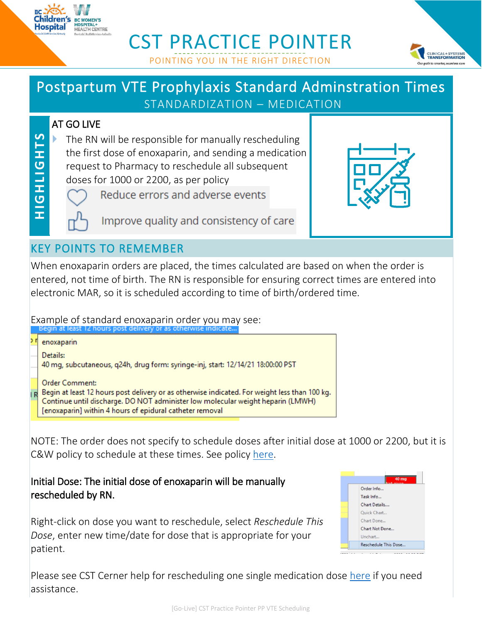

# CST PRACTICE POINTER POINTING YOU IN THE RIGHT DIRECTION



# Postpartum VTE Prophylaxis Standard Adminstration Times STANDARDIZATION – MEDICATION

#### AT GO LIVE

 The RN will be responsible for manually rescheduling the first dose of enoxaparin, and sending a medication request to Pharmacy to reschedule all subsequent doses for 1000 or 2200, as per policy



**H IG H LIGH TS**

HIGHLIGHTS

Reduce errors and adverse events

Improve quality and consistency of care

### KEY POINTS TO REMEMBER

When enoxaparin orders are placed, the times calculated are based on when the order is entered, not time of birth. The RN is responsible for ensuring correct times are entered into electronic MAR, so it is scheduled according to time of birth/ordered time.

Example of standard enoxaparin order you may see:

| enoxaparin                                                                                                                                                                                                                                                              |
|-------------------------------------------------------------------------------------------------------------------------------------------------------------------------------------------------------------------------------------------------------------------------|
| Details:<br>40 mg, subcutaneous, q24h, drug form: syringe-inj, start: 12/14/21 18:00:00 PST                                                                                                                                                                             |
| <b>Order Comment:</b><br>R Begin at least 12 hours post delivery or as otherwise indicated. For weight less than 100 kg.<br>Continue until discharge. DO NOT administer low molecular weight heparin (LMWH)<br>[enoxaparin] within 4 hours of epidural catheter removal |

NOTE: The order does not specify to schedule doses after initial dose at 1000 or 2200, but it is C&W policy to schedule at these times. See policy [here.](http://shop.healthcarebc.ca/phsa/BCWH_2/BC%20Women)

Initial Dose: The initial dose of enoxaparin will be manually rescheduled by RN.

Right-click on dose you want to reschedule, select *Reschedule This Dose*, enter new time/date for dose that is appropriate for your patient.



Please see CST Cerner help for rescheduling one single medication dose [here](http://cstcernerhelp.healthcarebc.ca/index.htm#t=Patient_Chart%2FMAR%2FReschedule_a_Medication_on_the_MAR.htm&rhsearch=reschedule%20medication&rhhlterm=reschedule%20medication&rhsyns=%20) if you need assistance.